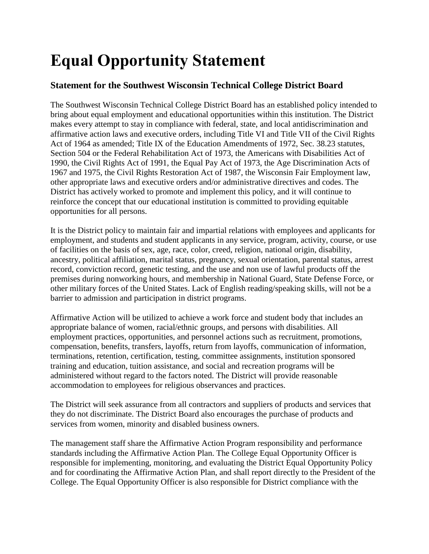## **Equal Opportunity Statement**

## **Statement for the Southwest Wisconsin Technical College District Board**

The Southwest Wisconsin Technical College District Board has an established policy intended to bring about equal employment and educational opportunities within this institution. The District makes every attempt to stay in compliance with federal, state, and local antidiscrimination and affirmative action laws and executive orders, including Title VI and Title VII of the Civil Rights Act of 1964 as amended; Title IX of the Education Amendments of 1972, Sec. 38.23 statutes, Section 504 or the Federal Rehabilitation Act of 1973, the Americans with Disabilities Act of 1990, the Civil Rights Act of 1991, the Equal Pay Act of 1973, the Age Discrimination Acts of 1967 and 1975, the Civil Rights Restoration Act of 1987, the Wisconsin Fair Employment law, other appropriate laws and executive orders and/or administrative directives and codes. The District has actively worked to promote and implement this policy, and it will continue to reinforce the concept that our educational institution is committed to providing equitable opportunities for all persons.

It is the District policy to maintain fair and impartial relations with employees and applicants for employment, and students and student applicants in any service, program, activity, course, or use of facilities on the basis of sex, age, race, color, creed, religion, national origin, disability, ancestry, political affiliation, marital status, pregnancy, sexual orientation, parental status, arrest record, conviction record, genetic testing, and the use and non use of lawful products off the premises during nonworking hours, and membership in National Guard, State Defense Force, or other military forces of the United States. Lack of English reading/speaking skills, will not be a barrier to admission and participation in district programs.

Affirmative Action will be utilized to achieve a work force and student body that includes an appropriate balance of women, racial/ethnic groups, and persons with disabilities. All employment practices, opportunities, and personnel actions such as recruitment, promotions, compensation, benefits, transfers, layoffs, return from layoffs, communication of information, terminations, retention, certification, testing, committee assignments, institution sponsored training and education, tuition assistance, and social and recreation programs will be administered without regard to the factors noted. The District will provide reasonable accommodation to employees for religious observances and practices.

The District will seek assurance from all contractors and suppliers of products and services that they do not discriminate. The District Board also encourages the purchase of products and services from women, minority and disabled business owners.

The management staff share the Affirmative Action Program responsibility and performance standards including the Affirmative Action Plan. The College Equal Opportunity Officer is responsible for implementing, monitoring, and evaluating the District Equal Opportunity Policy and for coordinating the Affirmative Action Plan, and shall report directly to the President of the College. The Equal Opportunity Officer is also responsible for District compliance with the